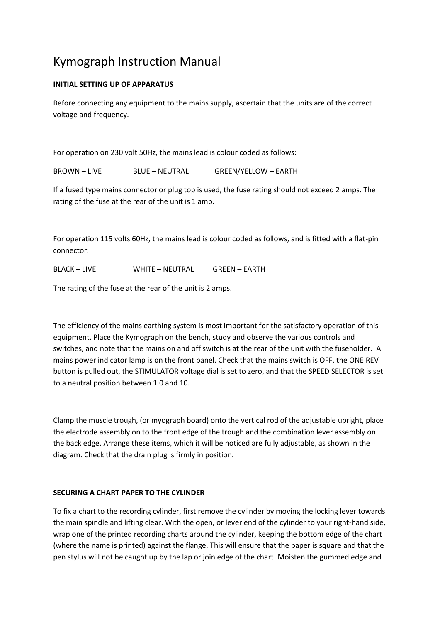# Kymograph Instruction Manual

### **INITIAL SETTING UP OF APPARATUS**

Before connecting any equipment to the mains supply, ascertain that the units are of the correct voltage and frequency.

For operation on 230 volt 50Hz, the mains lead is colour coded as follows:

BROWN – LIVE BLUE – NEUTRAL GREEN/YELLOW – EARTH

If a fused type mains connector or plug top is used, the fuse rating should not exceed 2 amps. The rating of the fuse at the rear of the unit is 1 amp.

For operation 115 volts 60Hz, the mains lead is colour coded as follows, and is fitted with a flat-pin connector:

BLACK – LIVE WHITE – NEUTRAL GREEN – EARTH

The rating of the fuse at the rear of the unit is 2 amps.

The efficiency of the mains earthing system is most important for the satisfactory operation of this equipment. Place the Kymograph on the bench, study and observe the various controls and switches, and note that the mains on and off switch is at the rear of the unit with the fuseholder. A mains power indicator lamp is on the front panel. Check that the mains switch is OFF, the ONE REV button is pulled out, the STIMULATOR voltage dial is set to zero, and that the SPEED SELECTOR is set to a neutral position between 1.0 and 10.

Clamp the muscle trough, (or myograph board) onto the vertical rod of the adjustable upright, place the electrode assembly on to the front edge of the trough and the combination lever assembly on the back edge. Arrange these items, which it will be noticed are fully adjustable, as shown in the diagram. Check that the drain plug is firmly in position.

### **SECURING A CHART PAPER TO THE CYLINDER**

To fix a chart to the recording cylinder, first remove the cylinder by moving the locking lever towards the main spindle and lifting clear. With the open, or lever end of the cylinder to your right-hand side, wrap one of the printed recording charts around the cylinder, keeping the bottom edge of the chart (where the name is printed) against the flange. This will ensure that the paper is square and that the pen stylus will not be caught up by the lap or join edge of the chart. Moisten the gummed edge and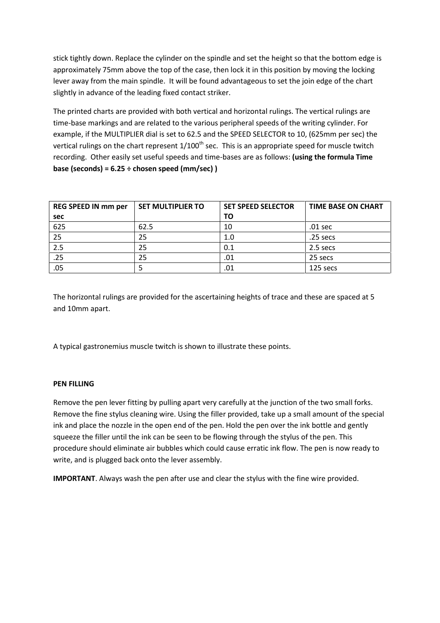stick tightly down. Replace the cylinder on the spindle and set the height so that the bottom edge is approximately 75mm above the top of the case, then lock it in this position by moving the locking lever away from the main spindle. It will be found advantageous to set the join edge of the chart slightly in advance of the leading fixed contact striker.

The printed charts are provided with both vertical and horizontal rulings. The vertical rulings are time-base markings and are related to the various peripheral speeds of the writing cylinder. For example, if the MULTIPLIER dial is set to 62.5 and the SPEED SELECTOR to 10, (625mm per sec) the vertical rulings on the chart represent  $1/100<sup>th</sup>$  sec. This is an appropriate speed for muscle twitch recording. Other easily set useful speeds and time-bases are as follows: **(using the formula Time base (seconds) = 6.25 ÷ chosen speed (mm/sec) )**

| <b>REG SPEED IN mm per</b> | <b>SET MULTIPLIER TO</b> | <b>SET SPEED SELECTOR</b> | <b>TIME BASE ON CHART</b> |
|----------------------------|--------------------------|---------------------------|---------------------------|
| sec                        |                          | ΤO                        |                           |
| 625                        | 62.5                     | 10                        | .01 sec                   |
| 25                         | 25                       | 1.0                       | $.25$ secs                |
| 2.5                        | 25                       | 0.1                       | 2.5 secs                  |
| .25                        | 25                       | .01                       | 25 secs                   |
| .05                        |                          | .01                       | 125 secs                  |

The horizontal rulings are provided for the ascertaining heights of trace and these are spaced at 5 and 10mm apart.

A typical gastronemius muscle twitch is shown to illustrate these points.

### **PEN FILLING**

Remove the pen lever fitting by pulling apart very carefully at the junction of the two small forks. Remove the fine stylus cleaning wire. Using the filler provided, take up a small amount of the special ink and place the nozzle in the open end of the pen. Hold the pen over the ink bottle and gently squeeze the filler until the ink can be seen to be flowing through the stylus of the pen. This procedure should eliminate air bubbles which could cause erratic ink flow. The pen is now ready to write, and is plugged back onto the lever assembly.

**IMPORTANT**. Always wash the pen after use and clear the stylus with the fine wire provided.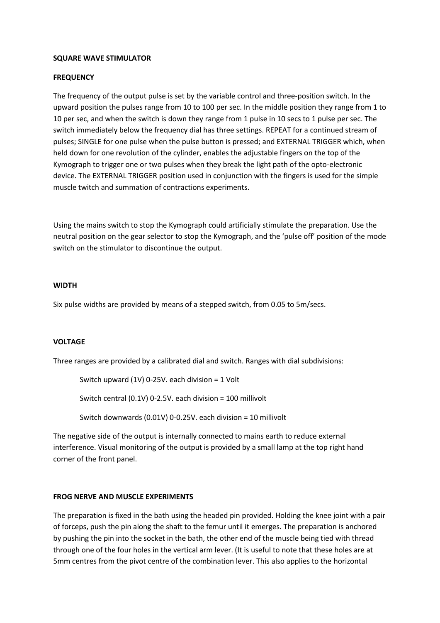#### **SQUARE WAVE STIMULATOR**

#### **FREQUENCY**

The frequency of the output pulse is set by the variable control and three-position switch. In the upward position the pulses range from 10 to 100 per sec. In the middle position they range from 1 to 10 per sec, and when the switch is down they range from 1 pulse in 10 secs to 1 pulse per sec. The switch immediately below the frequency dial has three settings. REPEAT for a continued stream of pulses; SINGLE for one pulse when the pulse button is pressed; and EXTERNAL TRIGGER which, when held down for one revolution of the cylinder, enables the adjustable fingers on the top of the Kymograph to trigger one or two pulses when they break the light path of the opto-electronic device. The EXTERNAL TRIGGER position used in conjunction with the fingers is used for the simple muscle twitch and summation of contractions experiments.

Using the mains switch to stop the Kymograph could artificially stimulate the preparation. Use the neutral position on the gear selector to stop the Kymograph, and the 'pulse off' position of the mode switch on the stimulator to discontinue the output.

#### **WIDTH**

Six pulse widths are provided by means of a stepped switch, from 0.05 to 5m/secs.

#### **VOLTAGE**

Three ranges are provided by a calibrated dial and switch. Ranges with dial subdivisions:

Switch upward (1V) 0-25V. each division = 1 Volt

Switch central (0.1V) 0-2.5V. each division = 100 millivolt

Switch downwards (0.01V) 0-0.25V. each division = 10 millivolt

The negative side of the output is internally connected to mains earth to reduce external interference. Visual monitoring of the output is provided by a small lamp at the top right hand corner of the front panel.

#### **FROG NERVE AND MUSCLE EXPERIMENTS**

The preparation is fixed in the bath using the headed pin provided. Holding the knee joint with a pair of forceps, push the pin along the shaft to the femur until it emerges. The preparation is anchored by pushing the pin into the socket in the bath, the other end of the muscle being tied with thread through one of the four holes in the vertical arm lever. (It is useful to note that these holes are at 5mm centres from the pivot centre of the combination lever. This also applies to the horizontal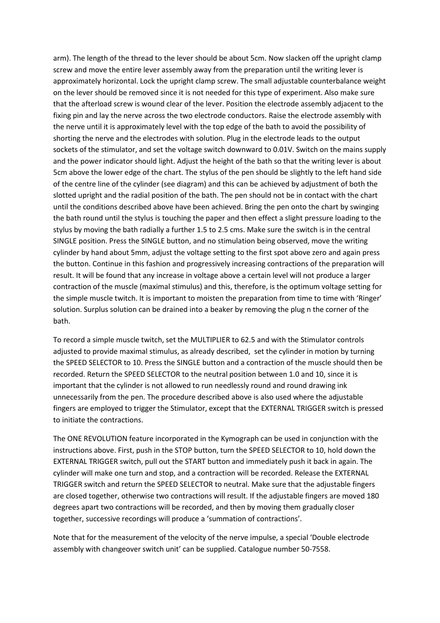arm). The length of the thread to the lever should be about 5cm. Now slacken off the upright clamp screw and move the entire lever assembly away from the preparation until the writing lever is approximately horizontal. Lock the upright clamp screw. The small adjustable counterbalance weight on the lever should be removed since it is not needed for this type of experiment. Also make sure that the afterload screw is wound clear of the lever. Position the electrode assembly adjacent to the fixing pin and lay the nerve across the two electrode conductors. Raise the electrode assembly with the nerve until it is approximately level with the top edge of the bath to avoid the possibility of shorting the nerve and the electrodes with solution. Plug in the electrode leads to the output sockets of the stimulator, and set the voltage switch downward to 0.01V. Switch on the mains supply and the power indicator should light. Adjust the height of the bath so that the writing lever is about 5cm above the lower edge of the chart. The stylus of the pen should be slightly to the left hand side of the centre line of the cylinder (see diagram) and this can be achieved by adjustment of both the slotted upright and the radial position of the bath. The pen should not be in contact with the chart until the conditions described above have been achieved. Bring the pen onto the chart by swinging the bath round until the stylus is touching the paper and then effect a slight pressure loading to the stylus by moving the bath radially a further 1.5 to 2.5 cms. Make sure the switch is in the central SINGLE position. Press the SINGLE button, and no stimulation being observed, move the writing cylinder by hand about 5mm, adjust the voltage setting to the first spot above zero and again press the button. Continue in this fashion and progressively increasing contractions of the preparation will result. It will be found that any increase in voltage above a certain level will not produce a larger contraction of the muscle (maximal stimulus) and this, therefore, is the optimum voltage setting for the simple muscle twitch. It is important to moisten the preparation from time to time with 'Ringer' solution. Surplus solution can be drained into a beaker by removing the plug n the corner of the bath.

To record a simple muscle twitch, set the MULTIPLIER to 62.5 and with the Stimulator controls adjusted to provide maximal stimulus, as already described, set the cylinder in motion by turning the SPEED SELECTOR to 10. Press the SINGLE button and a contraction of the muscle should then be recorded. Return the SPEED SELECTOR to the neutral position between 1.0 and 10, since it is important that the cylinder is not allowed to run needlessly round and round drawing ink unnecessarily from the pen. The procedure described above is also used where the adjustable fingers are employed to trigger the Stimulator, except that the EXTERNAL TRIGGER switch is pressed to initiate the contractions.

The ONE REVOLUTION feature incorporated in the Kymograph can be used in conjunction with the instructions above. First, push in the STOP button, turn the SPEED SELECTOR to 10, hold down the EXTERNAL TRIGGER switch, pull out the START button and immediately push it back in again. The cylinder will make one turn and stop, and a contraction will be recorded. Release the EXTERNAL TRIGGER switch and return the SPEED SELECTOR to neutral. Make sure that the adjustable fingers are closed together, otherwise two contractions will result. If the adjustable fingers are moved 180 degrees apart two contractions will be recorded, and then by moving them gradually closer together, successive recordings will produce a 'summation of contractions'.

Note that for the measurement of the velocity of the nerve impulse, a special 'Double electrode assembly with changeover switch unit' can be supplied. Catalogue number 50-7558.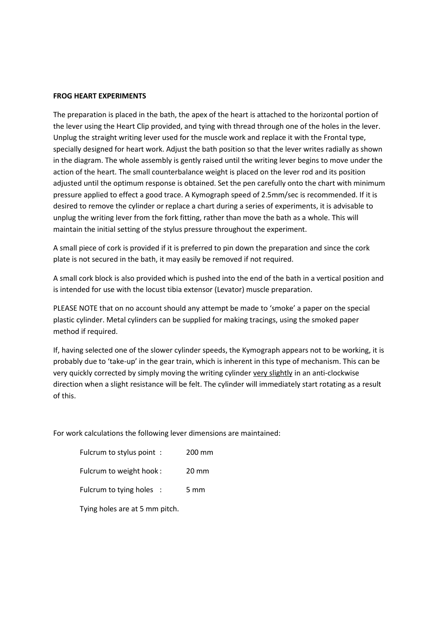#### **FROG HEART EXPERIMENTS**

The preparation is placed in the bath, the apex of the heart is attached to the horizontal portion of the lever using the Heart Clip provided, and tying with thread through one of the holes in the lever. Unplug the straight writing lever used for the muscle work and replace it with the Frontal type, specially designed for heart work. Adjust the bath position so that the lever writes radially as shown in the diagram. The whole assembly is gently raised until the writing lever begins to move under the action of the heart. The small counterbalance weight is placed on the lever rod and its position adjusted until the optimum response is obtained. Set the pen carefully onto the chart with minimum pressure applied to effect a good trace. A Kymograph speed of 2.5mm/sec is recommended. If it is desired to remove the cylinder or replace a chart during a series of experiments, it is advisable to unplug the writing lever from the fork fitting, rather than move the bath as a whole. This will maintain the initial setting of the stylus pressure throughout the experiment.

A small piece of cork is provided if it is preferred to pin down the preparation and since the cork plate is not secured in the bath, it may easily be removed if not required.

A small cork block is also provided which is pushed into the end of the bath in a vertical position and is intended for use with the locust tibia extensor (Levator) muscle preparation.

PLEASE NOTE that on no account should any attempt be made to 'smoke' a paper on the special plastic cylinder. Metal cylinders can be supplied for making tracings, using the smoked paper method if required.

If, having selected one of the slower cylinder speeds, the Kymograph appears not to be working, it is probably due to 'take-up' in the gear train, which is inherent in this type of mechanism. This can be very quickly corrected by simply moving the writing cylinder very slightly in an anti-clockwise direction when a slight resistance will be felt. The cylinder will immediately start rotating as a result of this.

For work calculations the following lever dimensions are maintained:

| Fulcrum to stylus point: | 200 mm          |
|--------------------------|-----------------|
| Fulcrum to weight hook:  | $20 \text{ mm}$ |
| Fulcrum to tying holes : | 5 mm            |

Tying holes are at 5 mm pitch.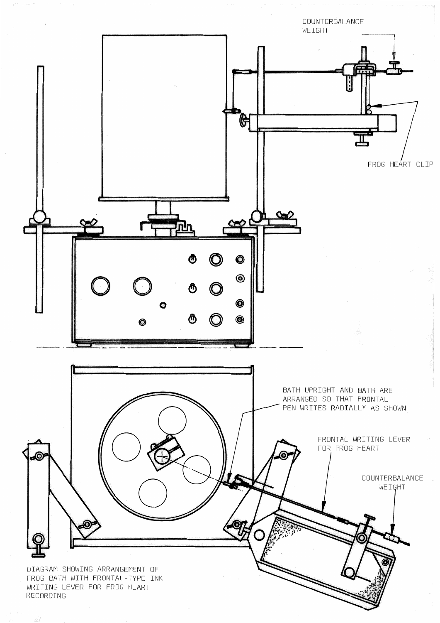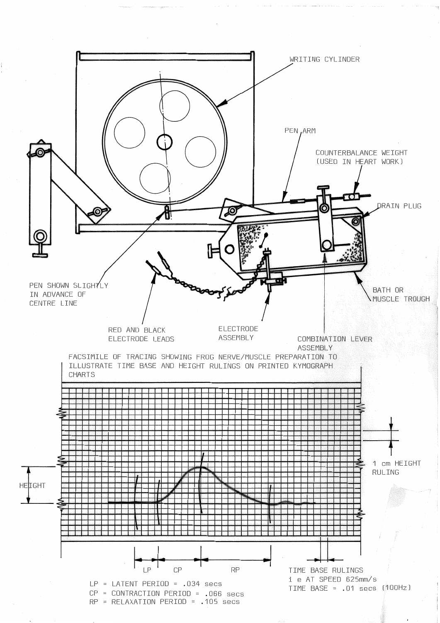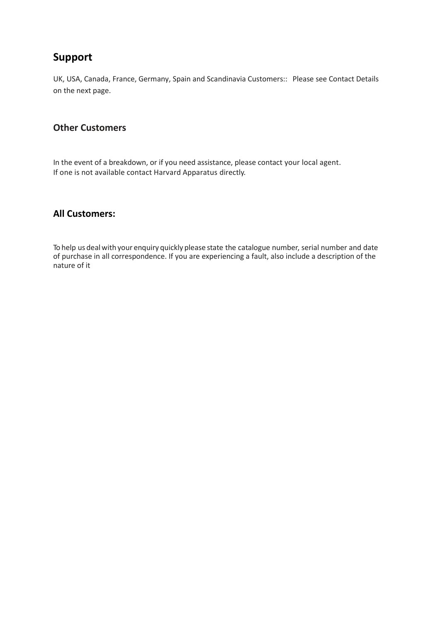## **Support**

UK, USA, Canada, France, Germany, Spain and Scandinavia Customers:: Please see Contact Details on the next page.

### **Other Customers**

In the event of a breakdown, or if you need assistance, please contact your local agent. If one is not available contact Harvard Apparatus directly.

### **All Customers:**

To help us deal with your enquiry quickly please state the catalogue number, serial number and date of purchase in all correspondence. If you are experiencing a fault, also include a description of the nature of it